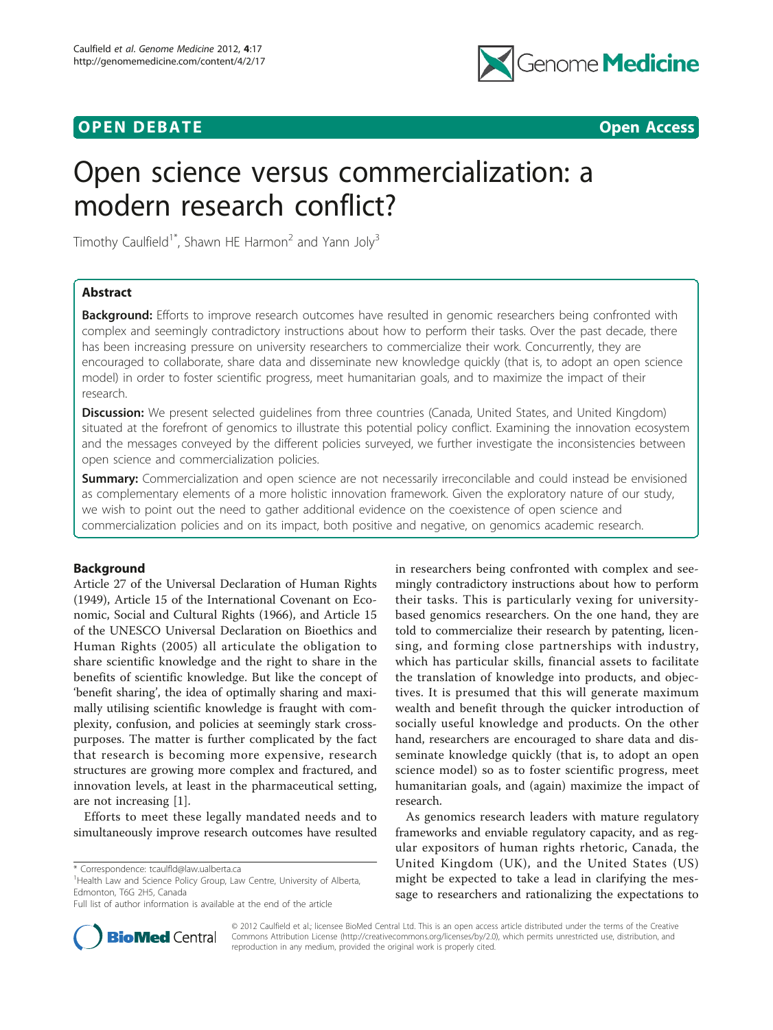## **OPEN DEBATE OPEN DEBATE OPEN DEBATE**



# Open science versus commercialization: a modern research conflict?

Timothy Caulfield<sup>1\*</sup>, Shawn HE Harmon<sup>2</sup> and Yann Joly<sup>3</sup>

## Abstract

**Background:** Efforts to improve research outcomes have resulted in genomic researchers being confronted with complex and seemingly contradictory instructions about how to perform their tasks. Over the past decade, there has been increasing pressure on university researchers to commercialize their work. Concurrently, they are encouraged to collaborate, share data and disseminate new knowledge quickly (that is, to adopt an open science model) in order to foster scientific progress, meet humanitarian goals, and to maximize the impact of their research.

Discussion: We present selected guidelines from three countries (Canada, United States, and United Kingdom) situated at the forefront of genomics to illustrate this potential policy conflict. Examining the innovation ecosystem and the messages conveyed by the different policies surveyed, we further investigate the inconsistencies between open science and commercialization policies.

**Summary:** Commercialization and open science are not necessarily irreconcilable and could instead be envisioned as complementary elements of a more holistic innovation framework. Given the exploratory nature of our study, we wish to point out the need to gather additional evidence on the coexistence of open science and commercialization policies and on its impact, both positive and negative, on genomics academic research.

## Background

Article 27 of the Universal Declaration of Human Rights (1949), Article 15 of the International Covenant on Economic, Social and Cultural Rights (1966), and Article 15 of the UNESCO Universal Declaration on Bioethics and Human Rights (2005) all articulate the obligation to share scientific knowledge and the right to share in the benefits of scientific knowledge. But like the concept of 'benefit sharing', the idea of optimally sharing and maximally utilising scientific knowledge is fraught with complexity, confusion, and policies at seemingly stark crosspurposes. The matter is further complicated by the fact that research is becoming more expensive, research structures are growing more complex and fractured, and innovation levels, at least in the pharmaceutical setting, are not increasing [[1\]](#page-8-0).

Efforts to meet these legally mandated needs and to simultaneously improve research outcomes have resulted

<sup>1</sup> Health Law and Science Policy Group, Law Centre, University of Alberta, Edmonton, T6G 2H5, Canada

in researchers being confronted with complex and seemingly contradictory instructions about how to perform their tasks. This is particularly vexing for universitybased genomics researchers. On the one hand, they are told to commercialize their research by patenting, licensing, and forming close partnerships with industry, which has particular skills, financial assets to facilitate the translation of knowledge into products, and objectives. It is presumed that this will generate maximum wealth and benefit through the quicker introduction of socially useful knowledge and products. On the other hand, researchers are encouraged to share data and disseminate knowledge quickly (that is, to adopt an open science model) so as to foster scientific progress, meet humanitarian goals, and (again) maximize the impact of research.

As genomics research leaders with mature regulatory frameworks and enviable regulatory capacity, and as regular expositors of human rights rhetoric, Canada, the United Kingdom (UK), and the United States (US) might be expected to take a lead in clarifying the message to researchers and rationalizing the expectations to



© 2012 Caulfield et al.; licensee BioMed Central Ltd. This is an open access article distributed under the terms of the Creative Commons Attribution License [\(http://creativecommons.org/licenses/by/2.0](http://creativecommons.org/licenses/by/2.0)), which permits unrestricted use, distribution, and reproduction in any medium, provided the original work is properly cited.

<sup>\*</sup> Correspondence: [tcaulfld@law.ualberta.ca](mailto:tcaulfld@law.ualberta.ca)

Full list of author information is available at the end of the article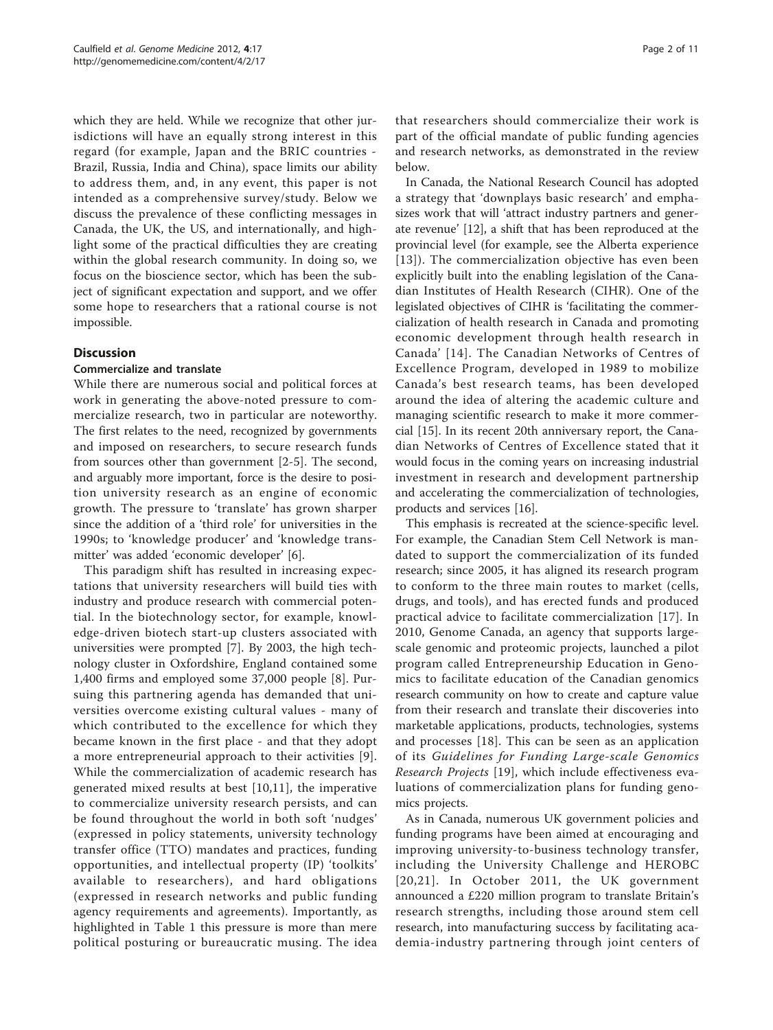regard (for example, Japan and the BRIC countries which they are held. While we recognize that other jurisdictions will have an equally strong interest in this Brazil, Russia, India and China), space limits our ability to address them, and, in any event, this paper is not intended as a comprehensive survey/study. Below we discuss the prevalence of these conflicting messages in Canada, the UK, the US, and internationally, and highlight some of the practical difficulties they are creating within the global research community. In doing so, we focus on the bioscience sector, which has been the subject of significant expectation and support, and we offer some hope to researchers that a rational course is not impossible.

## **Discussion**

## Commercialize and translate

While there are numerous social and political forces at work in generating the above-noted pressure to commercialize research, two in particular are noteworthy. The first relates to the need, recognized by governments and imposed on researchers, to secure research funds from sources other than government [[2-5](#page-8-0)]. The second, and arguably more important, force is the desire to position university research as an engine of economic growth. The pressure to 'translate' has grown sharper since the addition of a 'third role' for universities in the 1990s; to 'knowledge producer' and 'knowledge transmitter' was added 'economic developer' [[6\]](#page-8-0).

This paradigm shift has resulted in increasing expectations that university researchers will build ties with industry and produce research with commercial potential. In the biotechnology sector, for example, knowledge-driven biotech start-up clusters associated with universities were prompted [[7\]](#page-8-0). By 2003, the high technology cluster in Oxfordshire, England contained some 1,400 firms and employed some 37,000 people [\[8](#page-8-0)]. Pursuing this partnering agenda has demanded that universities overcome existing cultural values - many of which contributed to the excellence for which they became known in the first place - and that they adopt a more entrepreneurial approach to their activities [[9](#page-8-0)]. While the commercialization of academic research has generated mixed results at best [[10,11](#page-8-0)], the imperative to commercialize university research persists, and can be found throughout the world in both soft 'nudges' (expressed in policy statements, university technology transfer office (TTO) mandates and practices, funding opportunities, and intellectual property (IP) 'toolkits' available to researchers), and hard obligations (expressed in research networks and public funding agency requirements and agreements). Importantly, as highlighted in Table [1](#page-2-0) this pressure is more than mere political posturing or bureaucratic musing. The idea

that researchers should commercialize their work is part of the official mandate of public funding agencies and research networks, as demonstrated in the review below.

In Canada, the National Research Council has adopted a strategy that 'downplays basic research' and emphasizes work that will 'attract industry partners and generate revenue' [\[12\]](#page-8-0), a shift that has been reproduced at the provincial level (for example, see the Alberta experience [[13\]](#page-8-0)). The commercialization objective has even been explicitly built into the enabling legislation of the Canadian Institutes of Health Research (CIHR). One of the legislated objectives of CIHR is 'facilitating the commercialization of health research in Canada and promoting economic development through health research in Canada' [[14\]](#page-8-0). The Canadian Networks of Centres of Excellence Program, developed in 1989 to mobilize Canada's best research teams, has been developed around the idea of altering the academic culture and managing scientific research to make it more commercial [[15\]](#page-8-0). In its recent 20th anniversary report, the Canadian Networks of Centres of Excellence stated that it would focus in the coming years on increasing industrial investment in research and development partnership and accelerating the commercialization of technologies, products and services [[16](#page-9-0)].

This emphasis is recreated at the science-specific level. For example, the Canadian Stem Cell Network is mandated to support the commercialization of its funded research; since 2005, it has aligned its research program to conform to the three main routes to market (cells, drugs, and tools), and has erected funds and produced practical advice to facilitate commercialization [[17\]](#page-9-0). In 2010, Genome Canada, an agency that supports largescale genomic and proteomic projects, launched a pilot program called Entrepreneurship Education in Genomics to facilitate education of the Canadian genomics research community on how to create and capture value from their research and translate their discoveries into marketable applications, products, technologies, systems and processes [[18\]](#page-9-0). This can be seen as an application of its Guidelines for Funding Large-scale Genomics Research Projects [[19\]](#page-9-0), which include effectiveness evaluations of commercialization plans for funding genomics projects.

As in Canada, numerous UK government policies and funding programs have been aimed at encouraging and improving university-to-business technology transfer, including the University Challenge and HEROBC [[20](#page-9-0),[21](#page-9-0)]. In October 2011, the UK government announced a £220 million program to translate Britain's research strengths, including those around stem cell research, into manufacturing success by facilitating academia-industry partnering through joint centers of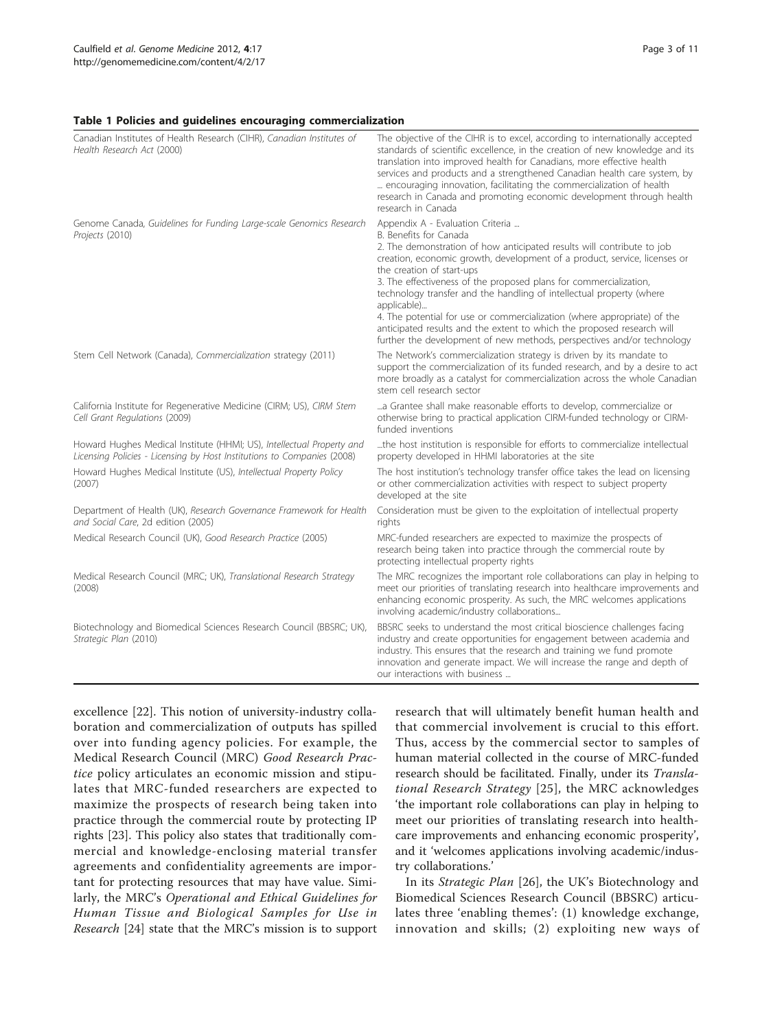<span id="page-2-0"></span>

| Canadian Institutes of Health Research (CIHR), Canadian Institutes of<br>Health Research Act (2000)                                              | The objective of the CIHR is to excel, according to internationally accepted<br>standards of scientific excellence, in the creation of new knowledge and its<br>translation into improved health for Canadians, more effective health<br>services and products and a strengthened Canadian health care system, by<br>encouraging innovation, facilitating the commercialization of health<br>research in Canada and promoting economic development through health<br>research in Canada                                                                                                                                                    |
|--------------------------------------------------------------------------------------------------------------------------------------------------|--------------------------------------------------------------------------------------------------------------------------------------------------------------------------------------------------------------------------------------------------------------------------------------------------------------------------------------------------------------------------------------------------------------------------------------------------------------------------------------------------------------------------------------------------------------------------------------------------------------------------------------------|
| Genome Canada, Guidelines for Funding Large-scale Genomics Research<br>Projects (2010)                                                           | Appendix A - Evaluation Criteria<br>B. Benefits for Canada<br>2. The demonstration of how anticipated results will contribute to job<br>creation, economic growth, development of a product, service, licenses or<br>the creation of start-ups<br>3. The effectiveness of the proposed plans for commercialization,<br>technology transfer and the handling of intellectual property (where<br>applicable)<br>4. The potential for use or commercialization (where appropriate) of the<br>anticipated results and the extent to which the proposed research will<br>further the development of new methods, perspectives and/or technology |
| Stem Cell Network (Canada), Commercialization strategy (2011)                                                                                    | The Network's commercialization strategy is driven by its mandate to<br>support the commercialization of its funded research, and by a desire to act<br>more broadly as a catalyst for commercialization across the whole Canadian<br>stem cell research sector                                                                                                                                                                                                                                                                                                                                                                            |
| California Institute for Regenerative Medicine (CIRM; US), CIRM Stem<br>Cell Grant Regulations (2009)                                            | a Grantee shall make reasonable efforts to develop, commercialize or<br>otherwise bring to practical application CIRM-funded technology or CIRM-<br>funded inventions                                                                                                                                                                                                                                                                                                                                                                                                                                                                      |
| Howard Hughes Medical Institute (HHMI; US), Intellectual Property and<br>Licensing Policies - Licensing by Host Institutions to Companies (2008) | the host institution is responsible for efforts to commercialize intellectual<br>property developed in HHMI laboratories at the site                                                                                                                                                                                                                                                                                                                                                                                                                                                                                                       |
| Howard Hughes Medical Institute (US), Intellectual Property Policy<br>(2007)                                                                     | The host institution's technology transfer office takes the lead on licensing<br>or other commercialization activities with respect to subject property<br>developed at the site                                                                                                                                                                                                                                                                                                                                                                                                                                                           |
| Department of Health (UK), Research Governance Framework for Health<br>and Social Care, 2d edition (2005)                                        | Consideration must be given to the exploitation of intellectual property<br>rights                                                                                                                                                                                                                                                                                                                                                                                                                                                                                                                                                         |
| Medical Research Council (UK), Good Research Practice (2005)                                                                                     | MRC-funded researchers are expected to maximize the prospects of<br>research being taken into practice through the commercial route by<br>protecting intellectual property rights                                                                                                                                                                                                                                                                                                                                                                                                                                                          |
| Medical Research Council (MRC; UK), Translational Research Strategy<br>(2008)                                                                    | The MRC recognizes the important role collaborations can play in helping to<br>meet our priorities of translating research into healthcare improvements and<br>enhancing economic prosperity. As such, the MRC welcomes applications<br>involving academic/industry collaborations                                                                                                                                                                                                                                                                                                                                                         |
| Biotechnology and Biomedical Sciences Research Council (BBSRC; UK),<br>Strategic Plan (2010)                                                     | BBSRC seeks to understand the most critical bioscience challenges facing<br>industry and create opportunities for engagement between academia and<br>industry. This ensures that the research and training we fund promote<br>innovation and generate impact. We will increase the range and depth of<br>our interactions with business                                                                                                                                                                                                                                                                                                    |

excellence [\[22](#page-9-0)]. This notion of university-industry collaboration and commercialization of outputs has spilled over into funding agency policies. For example, the Medical Research Council (MRC) Good Research Practice policy articulates an economic mission and stipulates that MRC-funded researchers are expected to maximize the prospects of research being taken into practice through the commercial route by protecting IP rights [\[23\]](#page-9-0). This policy also states that traditionally commercial and knowledge-enclosing material transfer agreements and confidentiality agreements are important for protecting resources that may have value. Similarly, the MRC's Operational and Ethical Guidelines for Human Tissue and Biological Samples for Use in Research [[24](#page-9-0)] state that the MRC's mission is to support research that will ultimately benefit human health and that commercial involvement is crucial to this effort. Thus, access by the commercial sector to samples of human material collected in the course of MRC-funded research should be facilitated. Finally, under its Translational Research Strategy [[25\]](#page-9-0), the MRC acknowledges 'the important role collaborations can play in helping to meet our priorities of translating research into healthcare improvements and enhancing economic prosperity', and it 'welcomes applications involving academic/industry collaborations.'

In its Strategic Plan [[26\]](#page-9-0), the UK's Biotechnology and Biomedical Sciences Research Council (BBSRC) articulates three 'enabling themes': (1) knowledge exchange, innovation and skills; (2) exploiting new ways of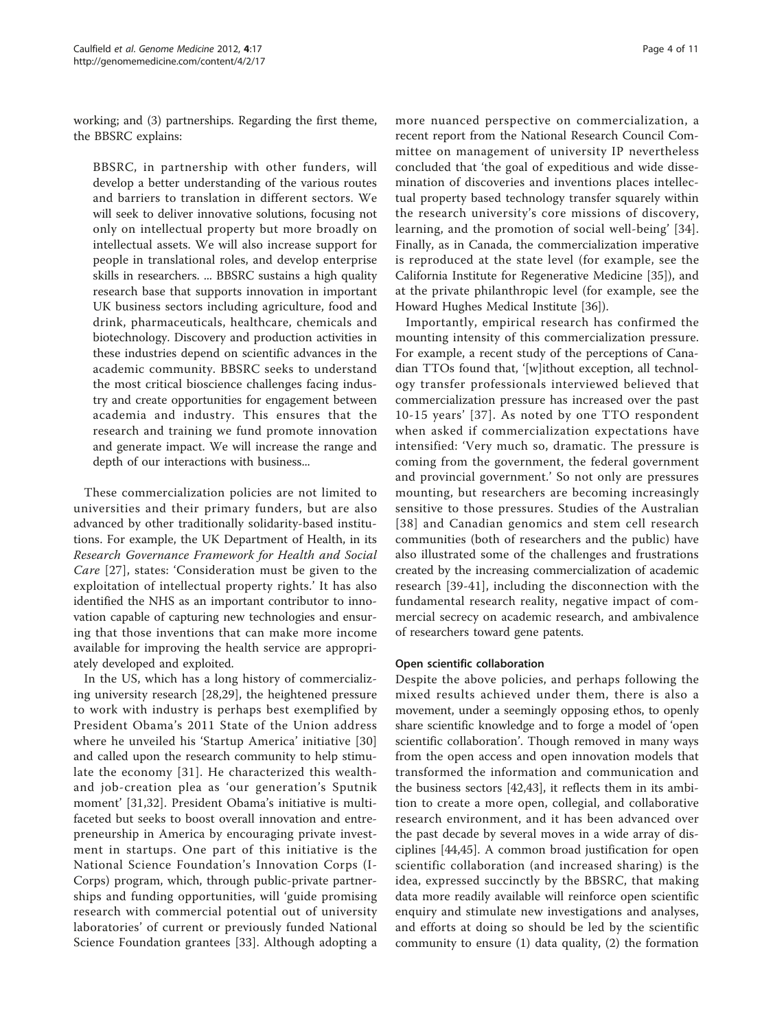working; and (3) partnerships. Regarding the first theme, the BBSRC explains:

BBSRC, in partnership with other funders, will develop a better understanding of the various routes and barriers to translation in different sectors. We will seek to deliver innovative solutions, focusing not only on intellectual property but more broadly on intellectual assets. We will also increase support for people in translational roles, and develop enterprise skills in researchers. ... BBSRC sustains a high quality research base that supports innovation in important UK business sectors including agriculture, food and drink, pharmaceuticals, healthcare, chemicals and biotechnology. Discovery and production activities in these industries depend on scientific advances in the academic community. BBSRC seeks to understand the most critical bioscience challenges facing industry and create opportunities for engagement between academia and industry. This ensures that the research and training we fund promote innovation and generate impact. We will increase the range and depth of our interactions with business...

These commercialization policies are not limited to universities and their primary funders, but are also advanced by other traditionally solidarity-based institutions. For example, the UK Department of Health, in its Research Governance Framework for Health and Social Care [[27](#page-9-0)], states: 'Consideration must be given to the exploitation of intellectual property rights.' It has also identified the NHS as an important contributor to innovation capable of capturing new technologies and ensuring that those inventions that can make more income available for improving the health service are appropriately developed and exploited.

In the US, which has a long history of commercializing university research [[28,29\]](#page-9-0), the heightened pressure to work with industry is perhaps best exemplified by President Obama's 2011 State of the Union address where he unveiled his 'Startup America' initiative [\[30](#page-9-0)] and called upon the research community to help stimulate the economy [[31\]](#page-9-0). He characterized this wealthand job-creation plea as 'our generation's Sputnik moment' [[31,32](#page-9-0)]. President Obama's initiative is multifaceted but seeks to boost overall innovation and entrepreneurship in America by encouraging private investment in startups. One part of this initiative is the National Science Foundation's Innovation Corps (I-Corps) program, which, through public-private partnerships and funding opportunities, will 'guide promising research with commercial potential out of university laboratories' of current or previously funded National Science Foundation grantees [\[33](#page-9-0)]. Although adopting a more nuanced perspective on commercialization, a recent report from the National Research Council Committee on management of university IP nevertheless concluded that 'the goal of expeditious and wide dissemination of discoveries and inventions places intellectual property based technology transfer squarely within the research university's core missions of discovery, learning, and the promotion of social well-being' [[34](#page-9-0)]. Finally, as in Canada, the commercialization imperative is reproduced at the state level (for example, see the California Institute for Regenerative Medicine [[35\]](#page-9-0)), and at the private philanthropic level (for example, see the Howard Hughes Medical Institute [[36\]](#page-9-0)).

Importantly, empirical research has confirmed the mounting intensity of this commercialization pressure. For example, a recent study of the perceptions of Canadian TTOs found that, '[w]ithout exception, all technology transfer professionals interviewed believed that commercialization pressure has increased over the past 10-15 years' [[37](#page-9-0)]. As noted by one TTO respondent when asked if commercialization expectations have intensified: 'Very much so, dramatic. The pressure is coming from the government, the federal government and provincial government.' So not only are pressures mounting, but researchers are becoming increasingly sensitive to those pressures. Studies of the Australian [[38](#page-9-0)] and Canadian genomics and stem cell research communities (both of researchers and the public) have also illustrated some of the challenges and frustrations created by the increasing commercialization of academic research [[39](#page-9-0)-[41](#page-9-0)], including the disconnection with the fundamental research reality, negative impact of commercial secrecy on academic research, and ambivalence of researchers toward gene patents.

## Open scientific collaboration

Despite the above policies, and perhaps following the mixed results achieved under them, there is also a movement, under a seemingly opposing ethos, to openly share scientific knowledge and to forge a model of 'open scientific collaboration'. Though removed in many ways from the open access and open innovation models that transformed the information and communication and the business sectors [[42](#page-9-0),[43](#page-9-0)], it reflects them in its ambition to create a more open, collegial, and collaborative research environment, and it has been advanced over the past decade by several moves in a wide array of disciplines [[44,45\]](#page-9-0). A common broad justification for open scientific collaboration (and increased sharing) is the idea, expressed succinctly by the BBSRC, that making data more readily available will reinforce open scientific enquiry and stimulate new investigations and analyses, and efforts at doing so should be led by the scientific community to ensure (1) data quality, (2) the formation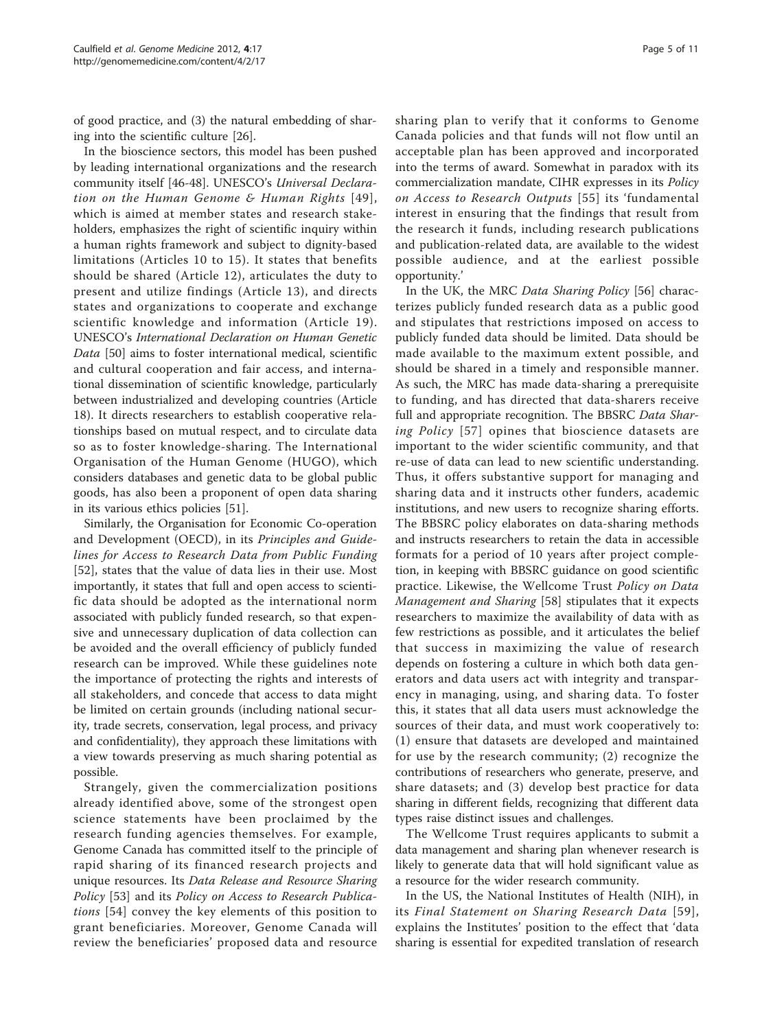of good practice, and (3) the natural embedding of sharing into the scientific culture [\[26](#page-9-0)].

In the bioscience sectors, this model has been pushed by leading international organizations and the research community itself [[46](#page-9-0)-[48\]](#page-9-0). UNESCO's Universal Declaration on the Human Genome & Human Rights [[49\]](#page-9-0), which is aimed at member states and research stakeholders, emphasizes the right of scientific inquiry within a human rights framework and subject to dignity-based limitations (Articles 10 to 15). It states that benefits should be shared (Article 12), articulates the duty to present and utilize findings (Article 13), and directs states and organizations to cooperate and exchange scientific knowledge and information (Article 19). UNESCO's International Declaration on Human Genetic Data [[50\]](#page-9-0) aims to foster international medical, scientific and cultural cooperation and fair access, and international dissemination of scientific knowledge, particularly between industrialized and developing countries (Article 18). It directs researchers to establish cooperative relationships based on mutual respect, and to circulate data so as to foster knowledge-sharing. The International Organisation of the Human Genome (HUGO), which considers databases and genetic data to be global public goods, has also been a proponent of open data sharing in its various ethics policies [[51](#page-9-0)].

Similarly, the Organisation for Economic Co-operation and Development (OECD), in its Principles and Guidelines for Access to Research Data from Public Funding [[52\]](#page-9-0), states that the value of data lies in their use. Most importantly, it states that full and open access to scientific data should be adopted as the international norm associated with publicly funded research, so that expensive and unnecessary duplication of data collection can be avoided and the overall efficiency of publicly funded research can be improved. While these guidelines note the importance of protecting the rights and interests of all stakeholders, and concede that access to data might be limited on certain grounds (including national security, trade secrets, conservation, legal process, and privacy and confidentiality), they approach these limitations with a view towards preserving as much sharing potential as possible.

Strangely, given the commercialization positions already identified above, some of the strongest open science statements have been proclaimed by the research funding agencies themselves. For example, Genome Canada has committed itself to the principle of rapid sharing of its financed research projects and unique resources. Its Data Release and Resource Sharing Policy [\[53](#page-9-0)] and its Policy on Access to Research Publications [[54\]](#page-9-0) convey the key elements of this position to grant beneficiaries. Moreover, Genome Canada will review the beneficiaries' proposed data and resource sharing plan to verify that it conforms to Genome Canada policies and that funds will not flow until an acceptable plan has been approved and incorporated into the terms of award. Somewhat in paradox with its commercialization mandate, CIHR expresses in its Policy on Access to Research Outputs [[55](#page-9-0)] its 'fundamental interest in ensuring that the findings that result from

the research it funds, including research publications and publication-related data, are available to the widest possible audience, and at the earliest possible

opportunity.' In the UK, the MRC Data Sharing Policy [[56\]](#page-9-0) characterizes publicly funded research data as a public good and stipulates that restrictions imposed on access to publicly funded data should be limited. Data should be made available to the maximum extent possible, and should be shared in a timely and responsible manner. As such, the MRC has made data-sharing a prerequisite to funding, and has directed that data-sharers receive full and appropriate recognition. The BBSRC Data Shar-ing Policy [[57\]](#page-9-0) opines that bioscience datasets are important to the wider scientific community, and that re-use of data can lead to new scientific understanding. Thus, it offers substantive support for managing and sharing data and it instructs other funders, academic institutions, and new users to recognize sharing efforts. The BBSRC policy elaborates on data-sharing methods and instructs researchers to retain the data in accessible formats for a period of 10 years after project completion, in keeping with BBSRC guidance on good scientific practice. Likewise, the Wellcome Trust Policy on Data Management and Sharing [[58\]](#page-9-0) stipulates that it expects researchers to maximize the availability of data with as few restrictions as possible, and it articulates the belief that success in maximizing the value of research depends on fostering a culture in which both data generators and data users act with integrity and transparency in managing, using, and sharing data. To foster this, it states that all data users must acknowledge the sources of their data, and must work cooperatively to: (1) ensure that datasets are developed and maintained for use by the research community; (2) recognize the contributions of researchers who generate, preserve, and share datasets; and (3) develop best practice for data sharing in different fields, recognizing that different data types raise distinct issues and challenges.

The Wellcome Trust requires applicants to submit a data management and sharing plan whenever research is likely to generate data that will hold significant value as a resource for the wider research community.

In the US, the National Institutes of Health (NIH), in its Final Statement on Sharing Research Data [[59\]](#page-9-0), explains the Institutes' position to the effect that 'data sharing is essential for expedited translation of research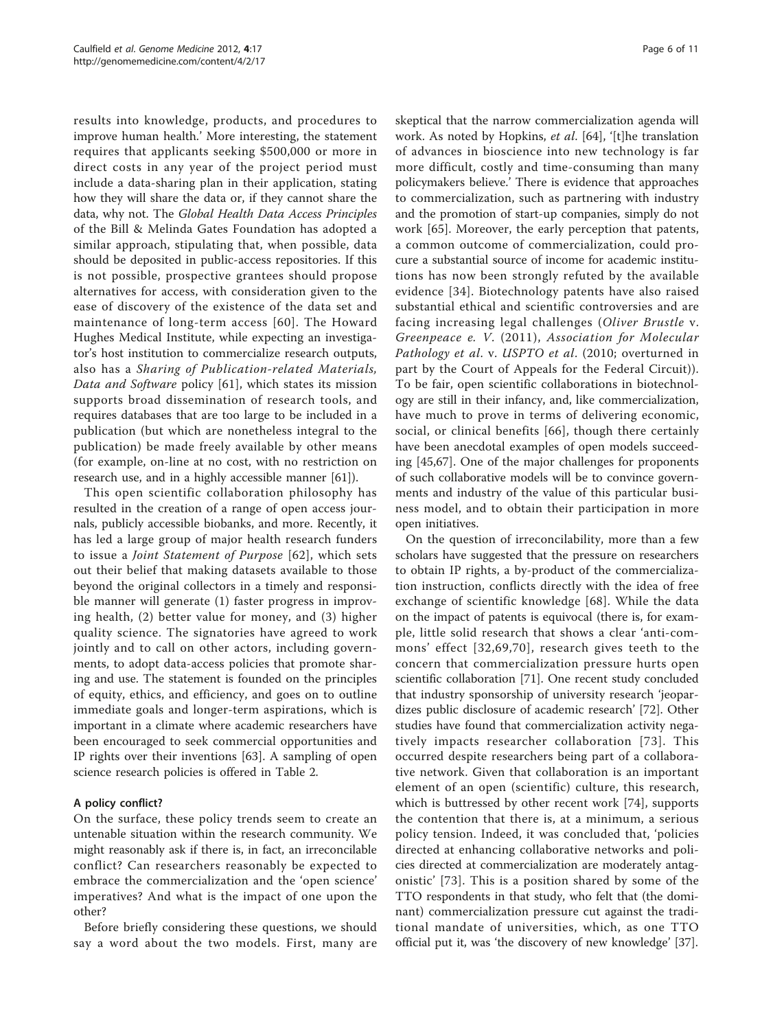results into knowledge, products, and procedures to improve human health.' More interesting, the statement requires that applicants seeking \$500,000 or more in direct costs in any year of the project period must include a data-sharing plan in their application, stating how they will share the data or, if they cannot share the data, why not. The Global Health Data Access Principles of the Bill & Melinda Gates Foundation has adopted a similar approach, stipulating that, when possible, data should be deposited in public-access repositories. If this is not possible, prospective grantees should propose alternatives for access, with consideration given to the ease of discovery of the existence of the data set and maintenance of long-term access [[60](#page-9-0)]. The Howard Hughes Medical Institute, while expecting an investigator's host institution to commercialize research outputs, also has a Sharing of Publication-related Materials, Data and Software policy [\[61](#page-9-0)], which states its mission supports broad dissemination of research tools, and requires databases that are too large to be included in a publication (but which are nonetheless integral to the publication) be made freely available by other means (for example, on-line at no cost, with no restriction on research use, and in a highly accessible manner [\[61\]](#page-9-0)).

This open scientific collaboration philosophy has resulted in the creation of a range of open access journals, publicly accessible biobanks, and more. Recently, it has led a large group of major health research funders to issue a Joint Statement of Purpose [\[62\]](#page-9-0), which sets out their belief that making datasets available to those beyond the original collectors in a timely and responsible manner will generate (1) faster progress in improving health, (2) better value for money, and (3) higher quality science. The signatories have agreed to work jointly and to call on other actors, including governments, to adopt data-access policies that promote sharing and use. The statement is founded on the principles of equity, ethics, and efficiency, and goes on to outline immediate goals and longer-term aspirations, which is important in a climate where academic researchers have been encouraged to seek commercial opportunities and IP rights over their inventions [\[63](#page-9-0)]. A sampling of open science research policies is offered in Table [2](#page-6-0).

## A policy conflict?

On the surface, these policy trends seem to create an untenable situation within the research community. We might reasonably ask if there is, in fact, an irreconcilable conflict? Can researchers reasonably be expected to embrace the commercialization and the 'open science' imperatives? And what is the impact of one upon the other?

Before briefly considering these questions, we should say a word about the two models. First, many are skeptical that the narrow commercialization agenda will work. As noted by Hopkins, et al. [[64\]](#page-10-0), '[t]he translation of advances in bioscience into new technology is far more difficult, costly and time-consuming than many policymakers believe.' There is evidence that approaches to commercialization, such as partnering with industry and the promotion of start-up companies, simply do not work [\[65](#page-10-0)]. Moreover, the early perception that patents, a common outcome of commercialization, could procure a substantial source of income for academic institutions has now been strongly refuted by the available evidence [[34\]](#page-9-0). Biotechnology patents have also raised substantial ethical and scientific controversies and are facing increasing legal challenges (Oliver Brustle v. Greenpeace e. V. (2011), Association for Molecular Pathology et al. v. USPTO et al. (2010; overturned in part by the Court of Appeals for the Federal Circuit)). To be fair, open scientific collaborations in biotechnology are still in their infancy, and, like commercialization, have much to prove in terms of delivering economic, social, or clinical benefits [[66\]](#page-10-0), though there certainly have been anecdotal examples of open models succeeding [\[45](#page-9-0)[,67](#page-10-0)]. One of the major challenges for proponents of such collaborative models will be to convince governments and industry of the value of this particular business model, and to obtain their participation in more open initiatives.

On the question of irreconcilability, more than a few scholars have suggested that the pressure on researchers to obtain IP rights, a by-product of the commercialization instruction, conflicts directly with the idea of free exchange of scientific knowledge [[68\]](#page-10-0). While the data on the impact of patents is equivocal (there is, for example, little solid research that shows a clear 'anti-commons' effect [[32](#page-9-0),[69](#page-10-0),[70\]](#page-10-0), research gives teeth to the concern that commercialization pressure hurts open scientific collaboration [[71\]](#page-10-0). One recent study concluded that industry sponsorship of university research 'jeopardizes public disclosure of academic research' [[72\]](#page-10-0). Other studies have found that commercialization activity negatively impacts researcher collaboration [[73](#page-10-0)]. This occurred despite researchers being part of a collaborative network. Given that collaboration is an important element of an open (scientific) culture, this research, which is buttressed by other recent work [[74\]](#page-10-0), supports the contention that there is, at a minimum, a serious policy tension. Indeed, it was concluded that, 'policies directed at enhancing collaborative networks and policies directed at commercialization are moderately antagonistic' [[73\]](#page-10-0). This is a position shared by some of the TTO respondents in that study, who felt that (the dominant) commercialization pressure cut against the traditional mandate of universities, which, as one TTO official put it, was 'the discovery of new knowledge' [\[37\]](#page-9-0).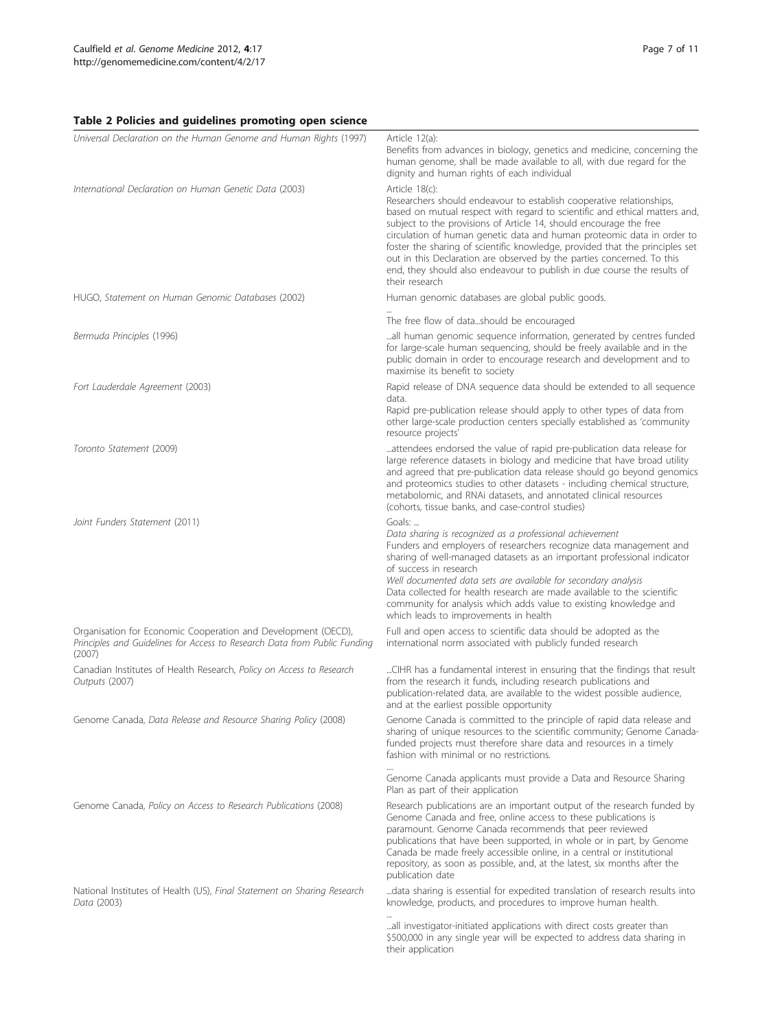<span id="page-6-0"></span>

| Universal Declaration on the Human Genome and Human Rights (1997)                                                                                    | Article 12(a):<br>Benefits from advances in biology, genetics and medicine, concerning the<br>human genome, shall be made available to all, with due regard for the<br>dignity and human rights of each individual                                                                                                                                                                                                                                                                                                                                                          |
|------------------------------------------------------------------------------------------------------------------------------------------------------|-----------------------------------------------------------------------------------------------------------------------------------------------------------------------------------------------------------------------------------------------------------------------------------------------------------------------------------------------------------------------------------------------------------------------------------------------------------------------------------------------------------------------------------------------------------------------------|
| International Declaration on Human Genetic Data (2003)                                                                                               | Article 18(c):<br>Researchers should endeavour to establish cooperative relationships,<br>based on mutual respect with regard to scientific and ethical matters and,<br>subject to the provisions of Article 14, should encourage the free<br>circulation of human genetic data and human proteomic data in order to<br>foster the sharing of scientific knowledge, provided that the principles set<br>out in this Declaration are observed by the parties concerned. To this<br>end, they should also endeavour to publish in due course the results of<br>their research |
| HUGO, Statement on Human Genomic Databases (2002)                                                                                                    | Human genomic databases are global public goods.                                                                                                                                                                                                                                                                                                                                                                                                                                                                                                                            |
|                                                                                                                                                      | The free flow of datashould be encouraged                                                                                                                                                                                                                                                                                                                                                                                                                                                                                                                                   |
| Bermuda Principles (1996)                                                                                                                            | all human genomic sequence information, generated by centres funded<br>for large-scale human sequencing, should be freely available and in the<br>public domain in order to encourage research and development and to<br>maximise its benefit to society                                                                                                                                                                                                                                                                                                                    |
| Fort Lauderdale Agreement (2003)                                                                                                                     | Rapid release of DNA sequence data should be extended to all sequence<br>data.                                                                                                                                                                                                                                                                                                                                                                                                                                                                                              |
|                                                                                                                                                      | Rapid pre-publication release should apply to other types of data from<br>other large-scale production centers specially established as 'community<br>resource projects'                                                                                                                                                                                                                                                                                                                                                                                                    |
| Toronto Statement (2009)                                                                                                                             | attendees endorsed the value of rapid pre-publication data release for<br>large reference datasets in biology and medicine that have broad utility<br>and agreed that pre-publication data release should go beyond genomics<br>and proteomics studies to other datasets - including chemical structure,<br>metabolomic, and RNAi datasets, and annotated clinical resources<br>(cohorts, tissue banks, and case-control studies)                                                                                                                                           |
| Joint Funders Statement (2011)                                                                                                                       | Goals:<br>Data sharing is recognized as a professional achievement<br>Funders and employers of researchers recognize data management and<br>sharing of well-managed datasets as an important professional indicator<br>of success in research<br>Well documented data sets are available for secondary analysis<br>Data collected for health research are made available to the scientific<br>community for analysis which adds value to existing knowledge and<br>which leads to improvements in health                                                                    |
| Organisation for Economic Cooperation and Development (OECD),<br>Principles and Guidelines for Access to Research Data from Public Funding<br>(2007) | Full and open access to scientific data should be adopted as the<br>international norm associated with publicly funded research                                                                                                                                                                                                                                                                                                                                                                                                                                             |
| Canadian Institutes of Health Research, Policy on Access to Research<br>Outputs (2007)                                                               | CIHR has a fundamental interest in ensuring that the findings that result<br>from the research it funds, including research publications and<br>publication-related data, are available to the widest possible audience,<br>and at the earliest possible opportunity                                                                                                                                                                                                                                                                                                        |
| Genome Canada, Data Release and Resource Sharing Policy (2008)                                                                                       | Genome Canada is committed to the principle of rapid data release and<br>sharing of unique resources to the scientific community; Genome Canada-<br>funded projects must therefore share data and resources in a timely<br>fashion with minimal or no restrictions.                                                                                                                                                                                                                                                                                                         |
|                                                                                                                                                      | Genome Canada applicants must provide a Data and Resource Sharing<br>Plan as part of their application                                                                                                                                                                                                                                                                                                                                                                                                                                                                      |
| Genome Canada, Policy on Access to Research Publications (2008)                                                                                      | Research publications are an important output of the research funded by<br>Genome Canada and free, online access to these publications is<br>paramount. Genome Canada recommends that peer reviewed<br>publications that have been supported, in whole or in part, by Genome<br>Canada be made freely accessible online, in a central or institutional<br>repository, as soon as possible, and, at the latest, six months after the<br>publication date                                                                                                                     |
| National Institutes of Health (US), Final Statement on Sharing Research<br>Data (2003)                                                               | data sharing is essential for expedited translation of research results into<br>knowledge, products, and procedures to improve human health.                                                                                                                                                                                                                                                                                                                                                                                                                                |
|                                                                                                                                                      | all investigator-initiated applications with direct costs greater than<br>\$500,000 in any single year will be expected to address data sharing in<br>their application                                                                                                                                                                                                                                                                                                                                                                                                     |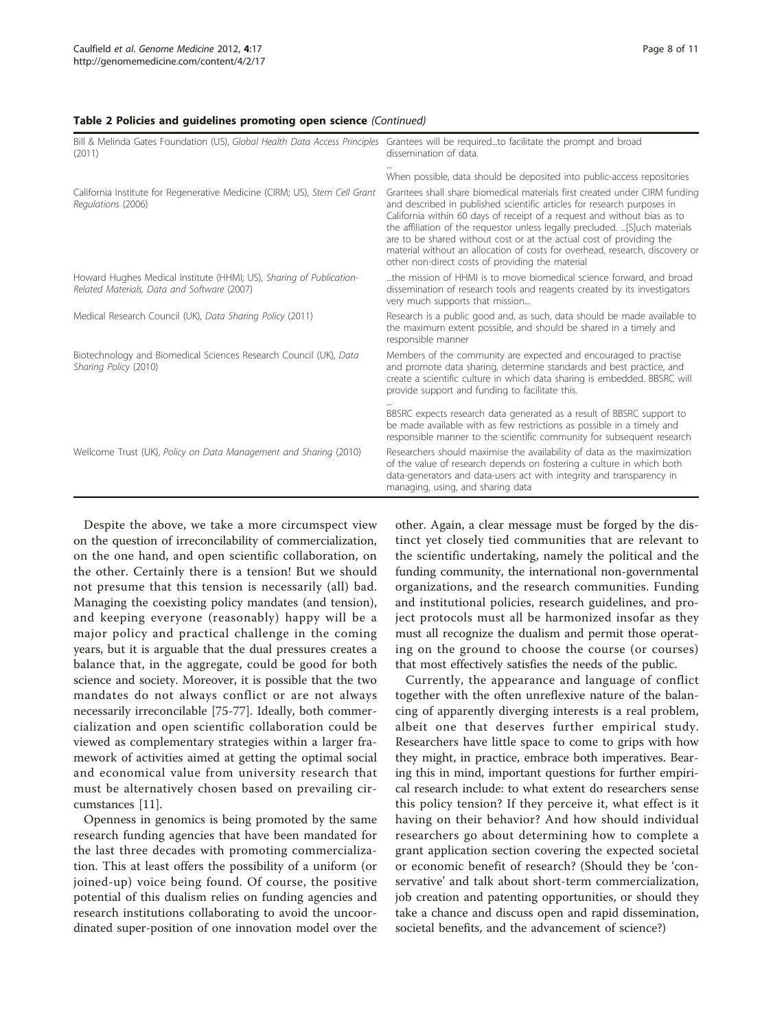### Table 2 Policies and guidelines promoting open science (Continued)

| Bill & Melinda Gates Foundation (US), Global Health Data Access Principles<br>(2011)                               | Grantees will be requiredto facilitate the prompt and broad<br>dissemination of data.                                                                                                                                                                                                                                                                                                                                                                                                                                        |
|--------------------------------------------------------------------------------------------------------------------|------------------------------------------------------------------------------------------------------------------------------------------------------------------------------------------------------------------------------------------------------------------------------------------------------------------------------------------------------------------------------------------------------------------------------------------------------------------------------------------------------------------------------|
|                                                                                                                    | When possible, data should be deposited into public-access repositories                                                                                                                                                                                                                                                                                                                                                                                                                                                      |
| California Institute for Regenerative Medicine (CIRM; US), Stem Cell Grant<br>Regulations (2006)                   | Grantees shall share biomedical materials first created under CIRM funding<br>and described in published scientific articles for research purposes in<br>California within 60 days of receipt of a request and without bias as to<br>the affiliation of the requestor unless legally precluded. [S]uch materials<br>are to be shared without cost or at the actual cost of providing the<br>material without an allocation of costs for overhead, research, discovery or<br>other non-direct costs of providing the material |
| Howard Hughes Medical Institute (HHMI; US), Sharing of Publication-<br>Related Materials, Data and Software (2007) | the mission of HHMI is to move biomedical science forward, and broad<br>dissemination of research tools and reagents created by its investigators<br>very much supports that mission                                                                                                                                                                                                                                                                                                                                         |
| Medical Research Council (UK), Data Sharing Policy (2011)                                                          | Research is a public good and, as such, data should be made available to<br>the maximum extent possible, and should be shared in a timely and<br>responsible manner                                                                                                                                                                                                                                                                                                                                                          |
| Biotechnology and Biomedical Sciences Research Council (UK), Data<br>Sharing Policy (2010)                         | Members of the community are expected and encouraged to practise<br>and promote data sharing, determine standards and best practice, and<br>create a scientific culture in which data sharing is embedded. BBSRC will<br>provide support and funding to facilitate this.                                                                                                                                                                                                                                                     |
|                                                                                                                    | BBSRC expects research data generated as a result of BBSRC support to<br>be made available with as few restrictions as possible in a timely and<br>responsible manner to the scientific community for subsequent research                                                                                                                                                                                                                                                                                                    |
| Wellcome Trust (UK), Policy on Data Management and Sharing (2010)                                                  | Researchers should maximise the availability of data as the maximization<br>of the value of research depends on fostering a culture in which both<br>data-generators and data-users act with integrity and transparency in<br>managing, using, and sharing data                                                                                                                                                                                                                                                              |

Despite the above, we take a more circumspect view on the question of irreconcilability of commercialization, on the one hand, and open scientific collaboration, on the other. Certainly there is a tension! But we should not presume that this tension is necessarily (all) bad. Managing the coexisting policy mandates (and tension), and keeping everyone (reasonably) happy will be a major policy and practical challenge in the coming years, but it is arguable that the dual pressures creates a balance that, in the aggregate, could be good for both science and society. Moreover, it is possible that the two mandates do not always conflict or are not always necessarily irreconcilable [\[75](#page-10-0)-[77\]](#page-10-0). Ideally, both commercialization and open scientific collaboration could be viewed as complementary strategies within a larger framework of activities aimed at getting the optimal social and economical value from university research that must be alternatively chosen based on prevailing circumstances [\[11\]](#page-8-0).

Openness in genomics is being promoted by the same research funding agencies that have been mandated for the last three decades with promoting commercialization. This at least offers the possibility of a uniform (or joined-up) voice being found. Of course, the positive potential of this dualism relies on funding agencies and research institutions collaborating to avoid the uncoordinated super-position of one innovation model over the

other. Again, a clear message must be forged by the distinct yet closely tied communities that are relevant to the scientific undertaking, namely the political and the funding community, the international non-governmental organizations, and the research communities. Funding and institutional policies, research guidelines, and project protocols must all be harmonized insofar as they must all recognize the dualism and permit those operating on the ground to choose the course (or courses) that most effectively satisfies the needs of the public.

Currently, the appearance and language of conflict together with the often unreflexive nature of the balancing of apparently diverging interests is a real problem, albeit one that deserves further empirical study. Researchers have little space to come to grips with how they might, in practice, embrace both imperatives. Bearing this in mind, important questions for further empirical research include: to what extent do researchers sense this policy tension? If they perceive it, what effect is it having on their behavior? And how should individual researchers go about determining how to complete a grant application section covering the expected societal or economic benefit of research? (Should they be 'conservative' and talk about short-term commercialization, job creation and patenting opportunities, or should they take a chance and discuss open and rapid dissemination, societal benefits, and the advancement of science?)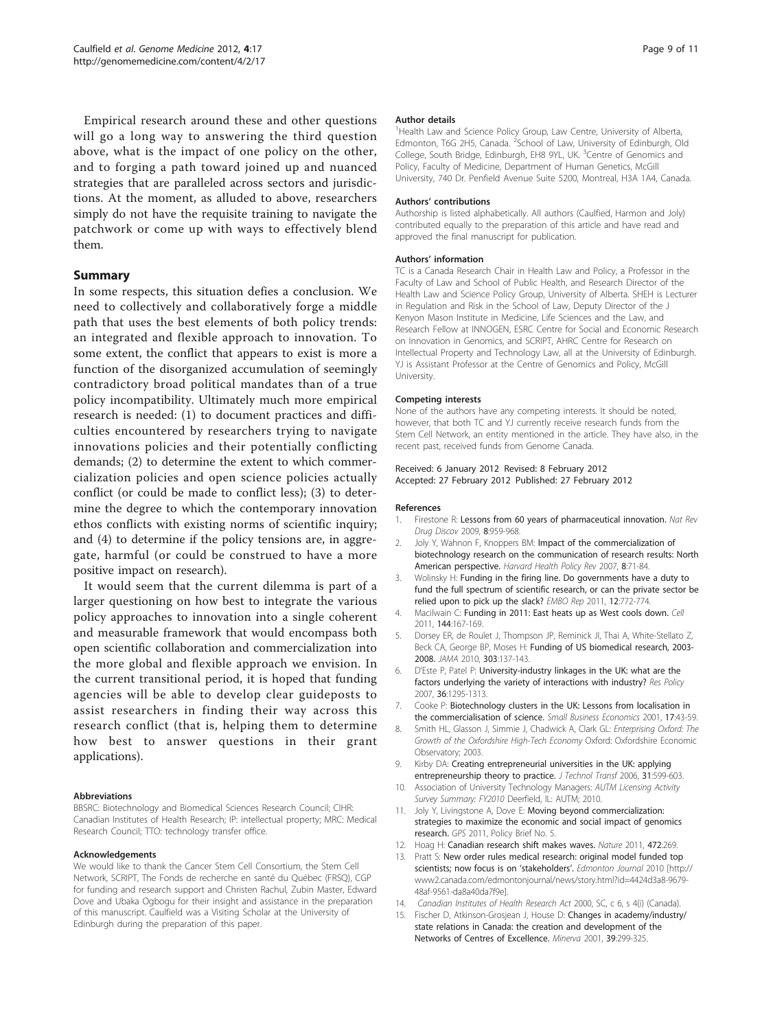<span id="page-8-0"></span>Empirical research around these and other questions will go a long way to answering the third question above, what is the impact of one policy on the other, and to forging a path toward joined up and nuanced strategies that are paralleled across sectors and jurisdictions. At the moment, as alluded to above, researchers simply do not have the requisite training to navigate the patchwork or come up with ways to effectively blend them.

## Summary

In some respects, this situation defies a conclusion. We need to collectively and collaboratively forge a middle path that uses the best elements of both policy trends: an integrated and flexible approach to innovation. To some extent, the conflict that appears to exist is more a function of the disorganized accumulation of seemingly contradictory broad political mandates than of a true policy incompatibility. Ultimately much more empirical research is needed: (1) to document practices and difficulties encountered by researchers trying to navigate innovations policies and their potentially conflicting demands; (2) to determine the extent to which commercialization policies and open science policies actually conflict (or could be made to conflict less); (3) to determine the degree to which the contemporary innovation ethos conflicts with existing norms of scientific inquiry; and (4) to determine if the policy tensions are, in aggregate, harmful (or could be construed to have a more positive impact on research).

It would seem that the current dilemma is part of a larger questioning on how best to integrate the various policy approaches to innovation into a single coherent and measurable framework that would encompass both open scientific collaboration and commercialization into the more global and flexible approach we envision. In the current transitional period, it is hoped that funding agencies will be able to develop clear guideposts to assist researchers in finding their way across this research conflict (that is, helping them to determine how best to answer questions in their grant applications).

#### Abbreviations

BBSRC: Biotechnology and Biomedical Sciences Research Council; CIHR: Canadian Institutes of Health Research; IP: intellectual property; MRC: Medical Research Council; TTO: technology transfer office.

#### Acknowledgements

We would like to thank the Cancer Stem Cell Consortium, the Stem Cell Network, SCRIPT, The Fonds de recherche en santé du Québec (FRSQ), CGP for funding and research support and Christen Rachul, Zubin Master, Edward Dove and Ubaka Ogbogu for their insight and assistance in the preparation of this manuscript. Caulfield was a Visiting Scholar at the University of Edinburgh during the preparation of this paper.

#### Author details

<sup>1</sup> Health Law and Science Policy Group, Law Centre, University of Alberta,<br>Edmonton, T6G 2H5, Canada. <sup>2</sup>School of Law, University of Edinburgh, Old College, South Bridge, Edinburgh, EH8 9YL, UK. <sup>3</sup>Centre of Genomics and Policy, Faculty of Medicine, Department of Human Genetics, McGill University, 740 Dr. Penfield Avenue Suite 5200, Montreal, H3A 1A4, Canada.

#### Authors' contributions

Authorship is listed alphabetically. All authors (Caulfied, Harmon and Joly) contributed equally to the preparation of this article and have read and approved the final manuscript for publication.

#### Authors' information

TC is a Canada Research Chair in Health Law and Policy, a Professor in the Faculty of Law and School of Public Health, and Research Director of the Health Law and Science Policy Group, University of Alberta. SHEH is Lecturer in Regulation and Risk in the School of Law, Deputy Director of the J Kenyon Mason Institute in Medicine, Life Sciences and the Law, and Research Fellow at INNOGEN, ESRC Centre for Social and Economic Research on Innovation in Genomics, and SCRIPT, AHRC Centre for Research on Intellectual Property and Technology Law, all at the University of Edinburgh. YJ is Assistant Professor at the Centre of Genomics and Policy, McGill University.

#### Competing interests

None of the authors have any competing interests. It should be noted, however, that both TC and YJ currently receive research funds from the Stem Cell Network, an entity mentioned in the article. They have also, in the recent past, received funds from Genome Canada.

#### Received: 6 January 2012 Revised: 8 February 2012 Accepted: 27 February 2012 Published: 27 February 2012

#### References

- Firestone R: [Lessons from 60 years of pharmaceutical innovation.](http://www.ncbi.nlm.nih.gov/pubmed/19949401?dopt=Abstract) Nat Rev Drug Discov 2009, 8:959-968.
- 2. Joly Y, Wahnon F, Knoppers BM: Impact of the commercialization of biotechnology research on the communication of research results: North American perspective. Harvard Health Policy Rev 2007, 8:71-84.
- 3. Wolinsky H: [Funding in the firing line. Do governments have a duty to](http://www.ncbi.nlm.nih.gov/pubmed/21799528?dopt=Abstract) [fund the full spectrum of scientific research, or can the private sector be](http://www.ncbi.nlm.nih.gov/pubmed/21799528?dopt=Abstract) [relied upon to pick up the slack?](http://www.ncbi.nlm.nih.gov/pubmed/21799528?dopt=Abstract) EMBO Rep 2011, 12:772-774.
- 4. Macilwain C: [Funding in 2011: East heats up as West cools down.](http://www.ncbi.nlm.nih.gov/pubmed/21241886?dopt=Abstract) Cell 2011, 144:167-169.
- 5. Dorsey ER, de Roulet J, Thompson JP, Reminick JI, Thai A, White-Stellato Z, Beck CA, George BP, Moses H: [Funding of US biomedical research, 2003-](http://www.ncbi.nlm.nih.gov/pubmed/20068207?dopt=Abstract) [2008.](http://www.ncbi.nlm.nih.gov/pubmed/20068207?dopt=Abstract) JAMA 2010, 303:137-143.
- 6. D'Este P, Patel P: University-industry linkages in the UK: what are the factors underlying the variety of interactions with industry? Res Policy 2007, 36:1295-1313.
- 7. Cooke P: Biotechnology clusters in the UK: Lessons from localisation in the commercialisation of science. Small Business Economics 2001, 17:43-59.
- 8. Smith HL, Glasson J, Simmie J, Chadwick A, Clark GL: Enterprising Oxford: The Growth of the Oxfordshire High-Tech Economy Oxford: Oxfordshire Economic Observatory; 2003.
- 9. Kirby DA: Creating entrepreneurial universities in the UK: applying entrepreneurship theory to practice. J Technol Transf 2006, 31:599-603.
- 10. Association of University Technology Managers: AUTM Licensing Activity Survey Summary: FY2010 Deerfield, IL: AUTM; 2010.
- 11. Joly Y, Livingstone A, Dove E: Moving beyond commercialization: strategies to maximize the economic and social impact of genomics research. GPS 2011, Policy Brief No. 5.
- 12. Hoag H: [Canadian research shift makes waves.](http://www.ncbi.nlm.nih.gov/pubmed/21512543?dopt=Abstract) Nature 2011, 472:269.
- 13. Pratt S: New order rules medical research: original model funded top scientists; now focus is on 'stakeholders'. Edmonton Journal 2010 [[http://](http://www2.canada.com/edmontonjournal/news/story.html?id=4424d3a8-9679-48af-9561-da8a40da7f9e) [www2.canada.com/edmontonjournal/news/story.html?id=4424d3a8-9679-](http://www2.canada.com/edmontonjournal/news/story.html?id=4424d3a8-9679-48af-9561-da8a40da7f9e) [48af-9561-da8a40da7f9e\]](http://www2.canada.com/edmontonjournal/news/story.html?id=4424d3a8-9679-48af-9561-da8a40da7f9e).
- 14. Canadian Institutes of Health Research Act 2000, SC, c 6, s 4(i) (Canada).
- 15. Fischer D, Atkinson-Grosjean J, House D: Changes in academy/industry/ state relations in Canada: the creation and development of the Networks of Centres of Excellence. Minerva 2001, 39:299-325.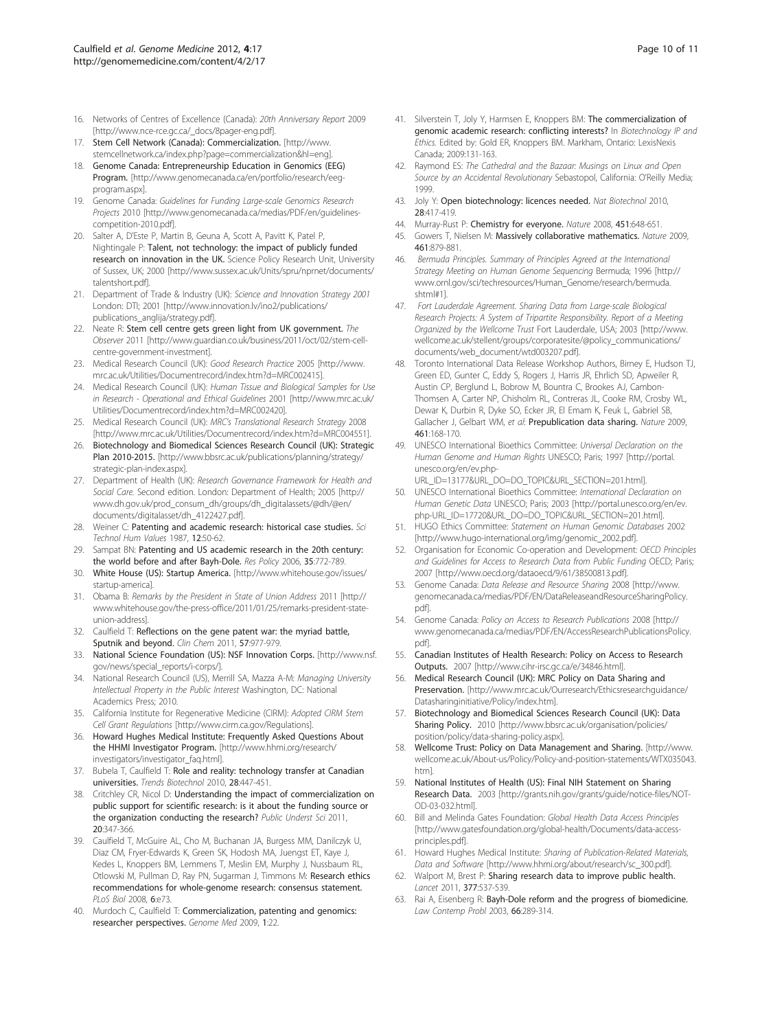- <span id="page-9-0"></span>16. Networks of Centres of Excellence (Canada): 20th Anniversary Report 2009 [\[http://www.nce-rce.gc.ca/\\_docs/8pager-eng.pdf\]](http://www.nce-rce.gc.ca/_docs/8pager-eng.pdf).
- 17. Stem Cell Network (Canada): Commercialization. [[http://www.](http://www.stemcellnetwork.ca/index.php?page=commercialization&hl=eng) [stemcellnetwork.ca/index.php?page=commercialization&hl=eng\]](http://www.stemcellnetwork.ca/index.php?page=commercialization&hl=eng).
- 18. Genome Canada: Entrepreneurship Education in Genomics (EEG) Program. [[http://www.genomecanada.ca/en/portfolio/research/eeg](http://www.genomecanada.ca/en/portfolio/research/eeg-program.aspx)[program.aspx\]](http://www.genomecanada.ca/en/portfolio/research/eeg-program.aspx).
- 19. Genome Canada: Guidelines for Funding Large-scale Genomics Research Projects 2010 [\[http://www.genomecanada.ca/medias/PDF/en/guidelines](http://www.genomecanada.ca/medias/PDF/en/guidelines-competition-2010.pdf)[competition-2010.pdf\]](http://www.genomecanada.ca/medias/PDF/en/guidelines-competition-2010.pdf).
- 20. Salter A, D'Este P, Martin B, Geuna A, Scott A, Pavitt K, Patel P, Nightingale P: Talent, not technology: the impact of publicly funded research on innovation in the UK. Science Policy Research Unit, University of Sussex, UK; 2000 [[http://www.sussex.ac.uk/Units/spru/nprnet/documents/](http://www.sussex.ac.uk/Units/spru/nprnet/documents/talentshort.pdf) [talentshort.pdf\]](http://www.sussex.ac.uk/Units/spru/nprnet/documents/talentshort.pdf).
- 21. Department of Trade & Industry (UK): Science and Innovation Strategy 2001 London: DTI; 2001 [[http://www.innovation.lv/ino2/publications/](http://www.innovation.lv/ino2/publications/publications_anglija/strategy.pdf) [publications\\_anglija/strategy.pdf\]](http://www.innovation.lv/ino2/publications/publications_anglija/strategy.pdf).
- 22. Neate R: Stem cell centre gets green light from UK government. The Observer 2011 [\[http://www.guardian.co.uk/business/2011/oct/02/stem-cell](http://www.guardian.co.uk/business/2011/oct/02/stem-cell-centre-government-investment)[centre-government-investment](http://www.guardian.co.uk/business/2011/oct/02/stem-cell-centre-government-investment)].
- 23. Medical Research Council (UK): Good Research Practice 2005 [[http://www.](http://www.mrc.ac.uk/Utilities/Documentrecord/index.htm?d=MRC002415) [mrc.ac.uk/Utilities/Documentrecord/index.htm?d=MRC002415\]](http://www.mrc.ac.uk/Utilities/Documentrecord/index.htm?d=MRC002415).
- 24. Medical Research Council (UK): Human Tissue and Biological Samples for Use in Research - Operational and Ethical Guidelines 2001 [\[http://www.mrc.ac.uk/](http://www.mrc.ac.uk/Utilities/Documentrecord/index.htm?d=MRC002420) [Utilities/Documentrecord/index.htm?d=MRC002420](http://www.mrc.ac.uk/Utilities/Documentrecord/index.htm?d=MRC002420)].
- 25. Medical Research Council (UK): MRC's Translational Research Strategy 2008 [\[http://www.mrc.ac.uk/Utilities/Documentrecord/index.htm?d=MRC004551\]](http://www.mrc.ac.uk/Utilities/Documentrecord/index.htm?d=MRC004551).
- 26. Biotechnology and Biomedical Sciences Research Council (UK): Strategic Plan 2010-2015. [\[http://www.bbsrc.ac.uk/publications/planning/strategy/](http://www.bbsrc.ac.uk/publications/planning/strategy/strategic-plan-index.aspx) [strategic-plan-index.aspx](http://www.bbsrc.ac.uk/publications/planning/strategy/strategic-plan-index.aspx)].
- 27. Department of Health (UK): Research Governance Framework for Health and Social Care. Second edition. London: Department of Health; 2005 [[http://](http://www.dh.gov.uk/prod_consum_dh/groups/dh_digitalassets/@dh/@en/documents/digitalasset/dh_4122427.pdf) [www.dh.gov.uk/prod\\_consum\\_dh/groups/dh\\_digitalassets/@dh/@en/](http://www.dh.gov.uk/prod_consum_dh/groups/dh_digitalassets/@dh/@en/documents/digitalasset/dh_4122427.pdf) [documents/digitalasset/dh\\_4122427.pdf\]](http://www.dh.gov.uk/prod_consum_dh/groups/dh_digitalassets/@dh/@en/documents/digitalasset/dh_4122427.pdf).
- 28. Weiner C: Patenting and academic research: historical case studies. Sci Technol Hum Values 1987, 12:50-62.
- 29. Sampat BN: Patenting and US academic research in the 20th century: the world before and after Bayh-Dole. Res Policy 2006, 35:772-789.
- 30. White House (US): Startup America. [[http://www.whitehouse.gov/issues/](http://www.whitehouse.gov/issues/startup-america) [startup-america\]](http://www.whitehouse.gov/issues/startup-america).
- 31. Obama B: Remarks by the President in State of Union Address 2011 [\[http://](http://www.whitehouse.gov/the-press-office/2011/01/25/remarks-president-state-union-address) [www.whitehouse.gov/the-press-office/2011/01/25/remarks-president-state](http://www.whitehouse.gov/the-press-office/2011/01/25/remarks-president-state-union-address)[union-address\]](http://www.whitehouse.gov/the-press-office/2011/01/25/remarks-president-state-union-address).
- 32. Caulfield T: [Reflections on the gene patent war: the myriad battle,](http://www.ncbi.nlm.nih.gov/pubmed/21507909?dopt=Abstract) [Sputnik and beyond.](http://www.ncbi.nlm.nih.gov/pubmed/21507909?dopt=Abstract) Clin Chem 2011, 57:977-979.
- 33. National Science Foundation (US): NSF Innovation Corps. [[http://www.nsf.](http://www.nsf.gov/news/special_reports/i-corps/) [gov/news/special\\_reports/i-corps/](http://www.nsf.gov/news/special_reports/i-corps/)].
- 34. National Research Council (US), Merrill SA, Mazza A-M: Managing University Intellectual Property in the Public Interest Washington, DC: National Academics Press; 2010.
- 35. California Institute for Regenerative Medicine (CIRM): Adopted CIRM Stem Cell Grant Regulations [[http://www.cirm.ca.gov/Regulations\]](http://www.cirm.ca.gov/Regulations).
- 36. Howard Hughes Medical Institute: Frequently Asked Questions About the HHMI Investigator Program. [[http://www.hhmi.org/research/](http://www.hhmi.org/research/investigators/investigator_faq.html) [investigators/investigator\\_faq.html](http://www.hhmi.org/research/investigators/investigator_faq.html)].
- 37. Bubela T, Caulfield T: [Role and reality: technology transfer at Canadian](http://www.ncbi.nlm.nih.gov/pubmed/20598388?dopt=Abstract) [universities.](http://www.ncbi.nlm.nih.gov/pubmed/20598388?dopt=Abstract) Trends Biotechnol 2010, 28:447-451.
- 38. Critchley CR, Nicol D: [Understanding the impact of commercialization on](http://www.ncbi.nlm.nih.gov/pubmed/21796883?dopt=Abstract) [public support for scientific research: is it about the funding source or](http://www.ncbi.nlm.nih.gov/pubmed/21796883?dopt=Abstract) [the organization conducting the research?](http://www.ncbi.nlm.nih.gov/pubmed/21796883?dopt=Abstract) Public Underst Sci 2011, 20:347-366.
- 39. Caulfield T, McGuire AL, Cho M, Buchanan JA, Burgess MM, Danilczyk U, Diaz CM, Fryer-Edwards K, Green SK, Hodosh MA, Juengst ET, Kaye J, Kedes L, Knoppers BM, Lemmens T, Meslin EM, Murphy J, Nussbaum RL, Otlowski M, Pullman D, Ray PN, Sugarman J, Timmons M: [Research ethics](http://www.ncbi.nlm.nih.gov/pubmed/18366258?dopt=Abstract) [recommendations for whole-genome research: consensus statement.](http://www.ncbi.nlm.nih.gov/pubmed/18366258?dopt=Abstract) PLoS Biol 2008, 6:e73.
- 40. Murdoch C, Caulfield T: [Commercialization, patenting and genomics:](http://www.ncbi.nlm.nih.gov/pubmed/19341493?dopt=Abstract) [researcher perspectives.](http://www.ncbi.nlm.nih.gov/pubmed/19341493?dopt=Abstract) Genome Med 2009, 1:22.
- 41. Silverstein T, Joly Y, Harmsen E, Knoppers BM: The commercialization of genomic academic research: conflicting interests? In Biotechnology IP and Ethics. Edited by: Gold ER, Knoppers BM. Markham, Ontario: LexisNexis Canada; 2009:131-163.
- 42. Raymond ES: The Cathedral and the Bazaar: Musings on Linux and Open Source by an Accidental Revolutionary Sebastopol, California: O'Reilly Media; 1999.
- 43. Joly Y: [Open biotechnology: licences needed.](http://www.ncbi.nlm.nih.gov/pubmed/20458301?dopt=Abstract) Nat Biotechnol 2010, 28:417-419.
- 44. Murray-Rust P: [Chemistry for everyone.](http://www.ncbi.nlm.nih.gov/pubmed/18256659?dopt=Abstract) Nature 2008, 451:648-651.
- 45. Gowers T, Nielsen M: [Massively collaborative mathematics.](http://www.ncbi.nlm.nih.gov/pubmed/19829354?dopt=Abstract) Nature 2009, 461:879-881.
- 46. Bermuda Principles. Summary of Principles Agreed at the International Strategy Meeting on Human Genome Sequencing Bermuda; 1996 [\[http://](http://www.ornl.gov/sci/techresources/Human_Genome/research/bermuda.shtml#1) [www.ornl.gov/sci/techresources/Human\\_Genome/research/bermuda.](http://www.ornl.gov/sci/techresources/Human_Genome/research/bermuda.shtml#1) [shtml#1](http://www.ornl.gov/sci/techresources/Human_Genome/research/bermuda.shtml#1)].
- 47. Fort Lauderdale Agreement. Sharing Data from Large-scale Biological Research Projects: A System of Tripartite Responsibility. Report of a Meeting Organized by the Wellcome Trust Fort Lauderdale, USA; 2003 [[http://www.](http://www.wellcome.ac.uk/stellent/groups/corporatesite/@policy_communications/documents/web_document/wtd003207.pdf) [wellcome.ac.uk/stellent/groups/corporatesite/@policy\\_communications/](http://www.wellcome.ac.uk/stellent/groups/corporatesite/@policy_communications/documents/web_document/wtd003207.pdf) [documents/web\\_document/wtd003207.pdf](http://www.wellcome.ac.uk/stellent/groups/corporatesite/@policy_communications/documents/web_document/wtd003207.pdf)].
- 48. Toronto International Data Release Workshop Authors, Birney E, Hudson TJ, Green ED, Gunter C, Eddy S, Rogers J, Harris JR, Ehrlich SD, Apweiler R, Austin CP, Berglund L, Bobrow M, Bountra C, Brookes AJ, Cambon-Thomsen A, Carter NP, Chisholm RL, Contreras JL, Cooke RM, Crosby WL, Dewar K, Durbin R, Dyke SO, Ecker JR, El Emam K, Feuk L, Gabriel SB, Gallacher J, Gelbart WM, et al: [Prepublication data sharing.](http://www.ncbi.nlm.nih.gov/pubmed/19741685?dopt=Abstract) Nature 2009, 461:168-170.
- 49. UNESCO International Bioethics Committee: Universal Declaration on the Human Genome and Human Rights UNESCO; Paris; 1997 [[http://portal.](http://portal.unesco.org/en/ev.php-URL_ID=13177&URL_DO=DO_TOPIC&URL_SECTION=201.html) [unesco.org/en/ev.php-](http://portal.unesco.org/en/ev.php-URL_ID=13177&URL_DO=DO_TOPIC&URL_SECTION=201.html)

[URL\\_ID=13177&URL\\_DO=DO\\_TOPIC&URL\\_SECTION=201.html](http://portal.unesco.org/en/ev.php-URL_ID=13177&URL_DO=DO_TOPIC&URL_SECTION=201.html)]. 50. UNESCO International Bioethics Committee: International Declaration on

- Human Genetic Data UNESCO; Paris; 2003 [[http://portal.unesco.org/en/ev.](http://portal.unesco.org/en/ev.php-URL_ID=17720&URL_DO=DO_TOPIC&URL_SECTION=201.html) [php-URL\\_ID=17720&URL\\_DO=DO\\_TOPIC&URL\\_SECTION=201.html\]](http://portal.unesco.org/en/ev.php-URL_ID=17720&URL_DO=DO_TOPIC&URL_SECTION=201.html).
- 51. HUGO Ethics Committee: Statement on Human Genomic Databases 2002 [[http://www.hugo-international.org/img/genomic\\_2002.pdf\]](http://www.hugo-international.org/img/genomic_2002.pdf).
- 52. Organisation for Economic Co-operation and Development: OECD Principles and Guidelines for Access to Research Data from Public Funding OECD; Paris; 2007 [\[http://www.oecd.org/dataoecd/9/61/38500813.pdf](http://www.oecd.org/dataoecd/9/61/38500813.pdf)].
- 53. Genome Canada: Data Release and Resource Sharing 2008 [\[http://www.](http://www.genomecanada.ca/medias/PDF/EN/DataReleaseandResourceSharingPolicy.pdf) [genomecanada.ca/medias/PDF/EN/DataReleaseandResourceSharingPolicy.](http://www.genomecanada.ca/medias/PDF/EN/DataReleaseandResourceSharingPolicy.pdf) [pdf](http://www.genomecanada.ca/medias/PDF/EN/DataReleaseandResourceSharingPolicy.pdf)].
- 54. Genome Canada: Policy on Access to Research Publications 2008 [\[http://](http://www.genomecanada.ca/medias/PDF/EN/AccessResearchPublicationsPolicy.pdf) [www.genomecanada.ca/medias/PDF/EN/AccessResearchPublicationsPolicy.](http://www.genomecanada.ca/medias/PDF/EN/AccessResearchPublicationsPolicy.pdf) [pdf](http://www.genomecanada.ca/medias/PDF/EN/AccessResearchPublicationsPolicy.pdf)].
- 55. Canadian Institutes of Health Research: Policy on Access to Research Outputs. 2007 [[http://www.cihr-irsc.gc.ca/e/34846.html\]](http://www.cihr-irsc.gc.ca/e/34846.html).
- 56. Medical Research Council (UK): MRC Policy on Data Sharing and Preservation. [\[http://www.mrc.ac.uk/Ourresearch/Ethicsresearchguidance/](http://www.mrc.ac.uk/Ourresearch/Ethicsresearchguidance/Datasharinginitiative/Policy/index.htm) [Datasharinginitiative/Policy/index.htm\]](http://www.mrc.ac.uk/Ourresearch/Ethicsresearchguidance/Datasharinginitiative/Policy/index.htm).
- 57. Biotechnology and Biomedical Sciences Research Council (UK): Data Sharing Policy. 2010 [[http://www.bbsrc.ac.uk/organisation/policies/](http://www.bbsrc.ac.uk/organisation/policies/position/policy/data-sharing-policy.aspx) [position/policy/data-sharing-policy.aspx\]](http://www.bbsrc.ac.uk/organisation/policies/position/policy/data-sharing-policy.aspx).
- Wellcome Trust: Policy on Data Management and Sharing. [\[http://www.](http://www.wellcome.ac.uk/About-us/Policy/Policy-and-position-statements/WTX035043.htm) [wellcome.ac.uk/About-us/Policy/Policy-and-position-statements/WTX035043.](http://www.wellcome.ac.uk/About-us/Policy/Policy-and-position-statements/WTX035043.htm) [htm](http://www.wellcome.ac.uk/About-us/Policy/Policy-and-position-statements/WTX035043.htm)].
- 59. National Institutes of Health (US): Final NIH Statement on Sharing Research Data. 2003 [\[http://grants.nih.gov/grants/guide/notice-files/NOT-](http://grants.nih.gov/grants/guide/notice-files/NOT-OD-03-032.html)[OD-03-032.html](http://grants.nih.gov/grants/guide/notice-files/NOT-OD-03-032.html)].
- 60. Bill and Melinda Gates Foundation: Global Health Data Access Principles [[http://www.gatesfoundation.org/global-health/Documents/data-access](http://www.gatesfoundation.org/global-health/Documents/data-access-principles.pdf)[principles.pdf](http://www.gatesfoundation.org/global-health/Documents/data-access-principles.pdf)].
- 61. Howard Hughes Medical Institute: Sharing of Publication-Related Materials, Data and Software [[http://www.hhmi.org/about/research/sc\\_300.pdf\]](http://www.hhmi.org/about/research/sc_300.pdf).
- 62. Walport M, Brest P: [Sharing research data to improve public health.](http://www.ncbi.nlm.nih.gov/pubmed/21216456?dopt=Abstract) Lancet 2011, 377:537-539.
- Rai A, Eisenberg R: Bayh-Dole reform and the progress of biomedicine. Law Contemp Probl 2003, 66:289-314.